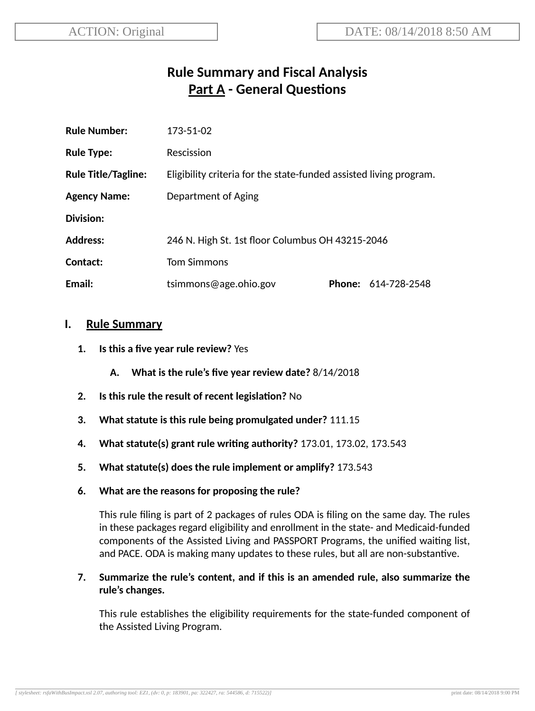# **Rule Summary and Fiscal Analysis Part A - General Questions**

| <b>Rule Number:</b>        | 173-51-02                                                          |  |                     |
|----------------------------|--------------------------------------------------------------------|--|---------------------|
| <b>Rule Type:</b>          | Rescission                                                         |  |                     |
| <b>Rule Title/Tagline:</b> | Eligibility criteria for the state-funded assisted living program. |  |                     |
| <b>Agency Name:</b>        | Department of Aging                                                |  |                     |
| Division:                  |                                                                    |  |                     |
| <b>Address:</b>            | 246 N. High St. 1st floor Columbus OH 43215-2046                   |  |                     |
| Contact:                   | <b>Tom Simmons</b>                                                 |  |                     |
| Email:                     | tsimmons@age.ohio.gov                                              |  | Phone: 614-728-2548 |

### **I. Rule Summary**

- **1. Is this a five year rule review?** Yes
	- **A. What is the rule's five year review date?** 8/14/2018
- **2.** Is this rule the result of recent legislation? No
- **3. What statute is this rule being promulgated under?** 111.15
- **4. What statute(s) grant rule wring authority?** 173.01, 173.02, 173.543
- **5. What statute(s) does the rule implement or amplify?** 173.543
- **6. What are the reasons for proposing the rule?**

This rule filing is part of 2 packages of rules ODA is filing on the same day. The rules in these packages regard eligibility and enrollment in the state- and Medicaid-funded components of the Assisted Living and PASSPORT Programs, the unified waiting list, and PACE. ODA is making many updates to these rules, but all are non-substantive.

### **7. Summarize the rule's content, and if this is an amended rule, also summarize the rule's changes.**

This rule establishes the eligibility requirements for the state-funded component of the Assisted Living Program.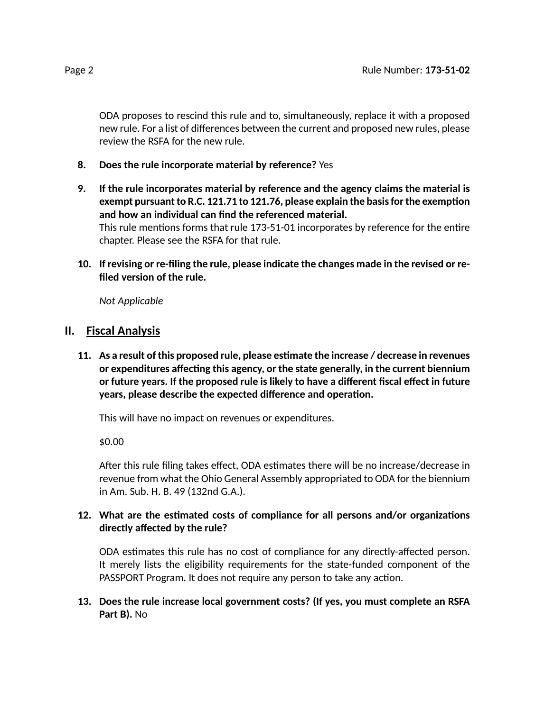ODA proposes to rescind this rule and to, simultaneously, replace it with a proposed new rule. For a list of differences between the current and proposed new rules, please review the RSFA for the new rule.

- **8. Does the rule incorporate material by reference?** Yes
- **9. If the rule incorporates material by reference and the agency claims the material is exempt** pursuant to R.C. 121.71 to 121.76, please explain the basis for the exemption **and how an individual can find the referenced material.** This rule mentions forms that rule 173-51-01 incorporates by reference for the entire chapter. Please see the RSFA for that rule.
- **10. If revising or re-filing the rule, please indicate the changes made in the revised or refiled version of the rule.**

*Not Applicable*

## **II. Fiscal Analysis**

**11. As a result of this proposed rule, please esmate the increase / decrease in revenues lacktrightnices affecting this** agency, or the state generally, in the current biennium **or future years. If the proposed rule is likely to have a different fiscal effect in future years, please describe the expected difference and operation.** 

This will have no impact on revenues or expenditures.

\$0.00

After this rule filing takes effect, ODA estimates there will be no increase/decrease in revenue from what the Ohio General Assembly appropriated to ODA for the biennium in Am. Sub. H. B. 49 (132nd G.A.).

## 12. What are the estimated costs of compliance for all persons and/or organizations **directly affected by the rule?**

ODA estimates this rule has no cost of compliance for any directly-affected person. It merely lists the eligibility requirements for the state-funded component of the PASSPORT Program. It does not require any person to take any action.

### **13. Does the rule increase local government costs? (If yes, you must complete an RSFA Part B).** No